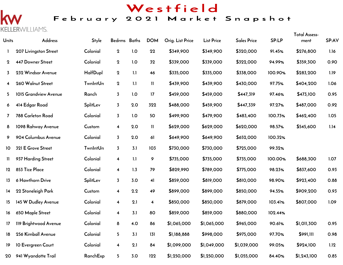# Westfield

### February 2021 Market Snapshot

# k **KELLER**WILLIAMS.

| Units          | Address                  | <b>Style</b>    | Bedrms Baths            |     | <b>DOM</b>              | Orig. List Price | <b>List Price</b> | <b>Sales Price</b> | SP:LP   | <b>Total Assess-</b><br>ment | SP:AV |
|----------------|--------------------------|-----------------|-------------------------|-----|-------------------------|------------------|-------------------|--------------------|---------|------------------------------|-------|
|                | 207 Livingston Street    | Colonial        | $\boldsymbol{2}$        | 1.0 | 22                      | \$349,900        | \$349,900         | \$320,000          | 91.45%  | \$276,800                    | 1.16  |
| $\mathbf{2}$   | <b>447 Downer Street</b> | Colonial        | $\mathbf 2$             | 1.0 | 32                      | \$339,000        | \$339,000         | \$322,000          | 94.99%  | \$359,300                    | 0.90  |
| 3              | 232 Windsor Avenue       | HalfDupl        | $\bf{2}$                | 1.1 | 46                      | \$335,000        | \$335,000         | \$338,000          | 100.90% | \$283,200                    | 1.19  |
| 4              | 260 Walnut Street        | <b>TwnIntUn</b> | $\mathbf 2$             | 1.1 | $\mathbf{H}$            | \$439,900        | \$439,900         | \$430,000          | 97.75%  | \$404,200                    | 1.06  |
| 5              | 1015 Grandview Avenue    | Ranch           | $\overline{3}$          | 1.0 | 17                      | \$459,000        | \$459,000         | \$447,319          | 97.46%  | \$473,100                    | 0.95  |
| 6              | 414 Edgar Road           | SplitLev        | $\overline{3}$          | 2.0 | 322                     | \$488,000        | \$459,900         | \$447,339          | 97.27%  | \$487,000                    | 0.92  |
| $\overline{7}$ | 788 Carleton Road        | Colonial        | $\overline{3}$          | 1.0 | 50                      | \$499,900        | \$479,900         | \$483,400          | 100.73% | \$462,400                    | 1.05  |
| 8              | 1098 Rahway Avenue       | Custom          | $\overline{\mathbf{4}}$ | 2.0 | $\mathbf{1}$            | \$629,000        | \$629,000         | \$620,000          | 98.57%  | \$545,600                    | 1.14  |
| 9              | 904 Columbus Avenue      | Colonial        | $\overline{3}$          | 2.0 | 61                      | \$649,900        | \$649,900         | \$652,000          | 100.32% |                              |       |
| 10             | 321 E Grove Street       | <b>TwnIntUn</b> | $\overline{3}$          | 3.1 | 103                     | \$730,000        | \$730,000         | \$725,000          | 99.32%  |                              |       |
| Ħ              | 937 Harding Street       | Colonial        | $\overline{\mathbf{4}}$ | 1.1 | 9                       | \$735,000        | \$735,000         | \$735,000          | 100.00% | \$688,300                    | 1.07  |
| 12             | 853 Tice Place           | Colonial        | $\overline{\mathbf{4}}$ | 1.3 | 79                      | \$829,990        | \$789,000         | \$775,000          | 98.23%  | \$837,600                    | 0.93  |
| 13             | 6 Hawthorn Drive         | SplitLev        | $\overline{3}$          | 3.0 | 41                      | \$859,000        | \$819,000         | \$810,000          | 98.90%  | \$923,400                    | 0.88  |
| 14             | 22 Stoneleigh Park       | Custom          | $\overline{\mathbf{4}}$ | 2.2 | 49                      | \$899,000        | \$899,000         | \$850,000          | 94.55%  | \$909,200                    | 0.93  |
| 15             | 145 W Dudley Avenue      | Colonial        | $\overline{\mathbf{4}}$ | 2.1 | $\overline{\mathbf{4}}$ | \$850,000        | \$850,000         | \$879,000          | 103.41% | \$807,000                    | 1.09  |
| 16             | 650 Maple Street         | Colonial        | 4                       | 3.1 | 80                      | \$859,000        | \$859,000         | \$880,000          | 102.44% |                              |       |
| 17             | 119 Brightwood Avenue    | Colonial        | 8                       | 4.0 | 86                      | \$1,065,000      | \$1,065,000       | \$965,000          | 90.61%  | \$1,011,300                  | 0.95  |
| 18             | 256 Kimball Avenue       | Colonial        | 5 <sub>1</sub>          | 3.1 | 131                     | \$1,188,888      | \$998,000         | \$975,000          | 97.70%  | \$991,111                    | 0.98  |
| 19             | 10 Evergreen Court       | Colonial        | $\overline{\mathbf{4}}$ | 2.1 | 84                      | \$1,099,000      | \$1,049,000       | \$1,039,000        | 99.05%  | \$924,100                    | 1.12  |
| 20             | 941 Wyandotte Trail      | RanchExp        | 5 <sub>5</sub>          | 3.0 | 122                     | \$1,250,000      | \$1,250,000       | \$1,055,000        | 84.40%  | \$1,243,100                  | 0.85  |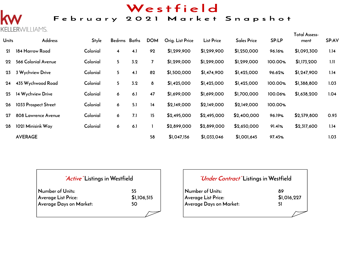# Westfield

## February 2021 Market Snapshot

# $\mathsf{K}$ **KELLER**WILLIAMS.

| <b>Units</b> | Address              | Style    | Bedrms Baths            |     | <b>DOM</b> | Orig. List Price | <b>List Price</b> | <b>Sales Price</b> | SP:LP   | <b>Total Assess-</b><br>ment | SP:AV |
|--------------|----------------------|----------|-------------------------|-----|------------|------------------|-------------------|--------------------|---------|------------------------------|-------|
| 21           | 184 Harrow Road      | Colonial | $\overline{\mathbf{4}}$ | 4.1 | 92         | \$1,299,900      | \$1,299,900       | \$1,250,000        | 96.16%  | \$1,093,300                  | 1.14  |
| 22           | 566 Colonial Avenue  | Colonial | 5 <sup>5</sup>          | 3.2 | 7          | \$1,299,000      | \$1,299,000       | \$1,299,000        | 100.00% | \$1,173,200                  | 1.11  |
| 23           | 3 Wychview Drive     | Colonial | 5                       | 4.1 | 82         | \$1,500,000      | \$1,474,900       | \$1,425,000        | 96.62%  | \$1,247,900                  | 1.14  |
| 24           | 435 Wychwood Road    | Colonial | 5 <sup>5</sup>          | 3.2 | 8          | \$1,425,000      | \$1,425,000       | \$1,425,000        | 100.00% | \$1,388,800                  | 1.03  |
| 25           | 14 Wychview Drive    | Colonial | 6                       | 6.1 | 47         | \$1,699,000      | \$1,699,000       | \$1,700,000        | 100.06% | \$1,638,200                  | 1.04  |
| 26           | 1033 Prospect Street | Colonial | 6                       | 5.1 | 14         | \$2,149,000      | \$2,149,000       | \$2,149,000        | 100.00% |                              |       |
| 27           | 808 Lawrence Avenue  | Colonial | 6                       | 7.1 | 15         | \$2,495,000      | \$2,495,000       | \$2,400,000        | 96.19%  | \$2,579,800                  | 0.93  |
| 28           | 1021 Minisink Way    | Colonial | 6                       | 6.1 |            | \$2,899,000      | \$2,899,000       | \$2,650,000        | 91.41%  | \$2,317,600                  | 1.14  |
|              | <b>AVERAGE</b>       |          |                         |     | 58         | \$1,047,156      | \$1,033,046       | \$1,001,645        | 97.45%  |                              | 1.03  |

| <i>Active</i> Listings in Westfield |             |
|-------------------------------------|-------------|
| Number of Units:                    | 55          |
| <b>Average List Price:</b>          | \$1,106,515 |
| Average Days on Market:             | 50          |
|                                     |             |

| "Under Contract" Listings in Westfield |
|----------------------------------------|
| 89                                     |
| \$1,016,227                            |
| 51                                     |
|                                        |